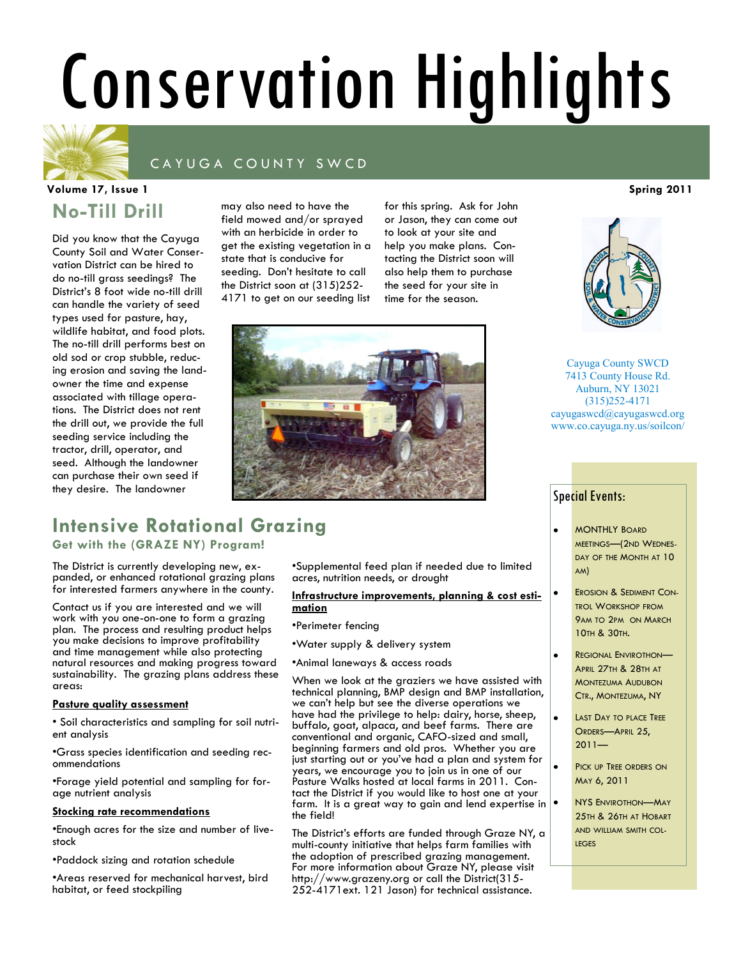# Conservation Highlights

### CAYUGA COUNTY SWCD

### **No-Till Drill Volume 17, Issue 1 Spring 2011**

Did you know that the Cayuga County Soil and Water Conservation District can be hired to do no-till grass seedings? The District's 8 foot wide no-till drill can handle the variety of seed types used for pasture, hay, wildlife habitat, and food plots. The no-till drill performs best on old sod or crop stubble, reducing erosion and saving the landowner the time and expense associated with tillage operations. The District does not rent the drill out, we provide the full seeding service including the tractor, drill, operator, and seed. Although the landowner can purchase their own seed if they desire. The landowner

may also need to have the field mowed and/or sprayed with an herbicide in order to get the existing vegetation in a state that is conducive for seeding. Don't hesitate to call the District soon at (315)252- 4171 to get on our seeding list

for this spring. Ask for John or Jason, they can come out to look at your site and help you make plans. Contacting the District soon will also help them to purchase the seed for your site in time for the season.



### **Intensive Rotational Grazing**

**Get with the (GRAZE NY) Program!**

The District is currently developing new, expanded, or enhanced rotational grazing plans for interested farmers anywhere in the county.

Contact us if you are interested and we will work with you one-on-one to form a grazing plan. The process and resulting product helps you make decisions to improve profitability and time management while also protecting natural resources and making progress toward sustainability. The grazing plans address these areas:

#### **Pasture quality assessment**

• Soil characteristics and sampling for soil nutrient analysis

•Grass species identification and seeding recommendations

•Forage yield potential and sampling for forage nutrient analysis

#### **Stocking rate recommendations**

•Enough acres for the size and number of livestock

•Paddock sizing and rotation schedule

•Areas reserved for mechanical harvest, bird habitat, or feed stockpiling

•Supplemental feed plan if needed due to limited acres, nutrition needs, or drought

#### **Infrastructure improvements, planning & cost estimation**

•Perimeter fencing

•Water supply & delivery system

•Animal laneways & access roads

When we look at the graziers we have assisted with technical planning, BMP design and BMP installation, we can't help but see the diverse operations we have had the privilege to help: dairy, horse, sheep, buffalo, goat, alpaca, and beef farms. There are conventional and organic, CAFO-sized and small, beginning farmers and old pros. Whether you are just starting out or you've had a plan and system for years, we encourage you to join us in one of our Pasture Walks hosted at local farms in 2011. Contact the District if you would like to host one at your farm. It is a great way to gain and lend expertise in  $\bullet$ the field!

The District's efforts are funded through Graze NY, a multi-county initiative that helps farm families with the adoption of prescribed grazing management. For more information about Graze NY, please visit http://www.grazeny.org or call the District(315- 252-4171ext. 121 Jason) for technical assistance.



Cayuga County SWCD 7413 County House Rd. Auburn, NY 13021 (315)252-4171 cayugaswcd@cayugaswcd.org www.co.cayuga.ny.us/soilcon/

#### Special Events:

- MONTHLY BOARD MEETINGS—(2ND WEDNES-DAY OF THE MONTH AT 10 AM)
- EROSION & SEDIMENT CON-TROL WORKSHOP FROM 9AM TO 2PM ON MARCH 10TH & 30TH.
- REGIONAL ENVIROTHON— APRIL 27TH & 28TH AT MONTEZUMA AUDUBON CTR., MONTEZUMA, NY
- LAST DAY TO PLACE TREE ORDERS—APRIL 25,  $2011 -$

 $\bullet$ 

- PICK UP TREE ORDERS ON MAY 6, 2011
- NYS ENVIROTHON—MAY 25TH & 26TH AT HOBART AND WILLIAM SMITH COL-**LEGES**